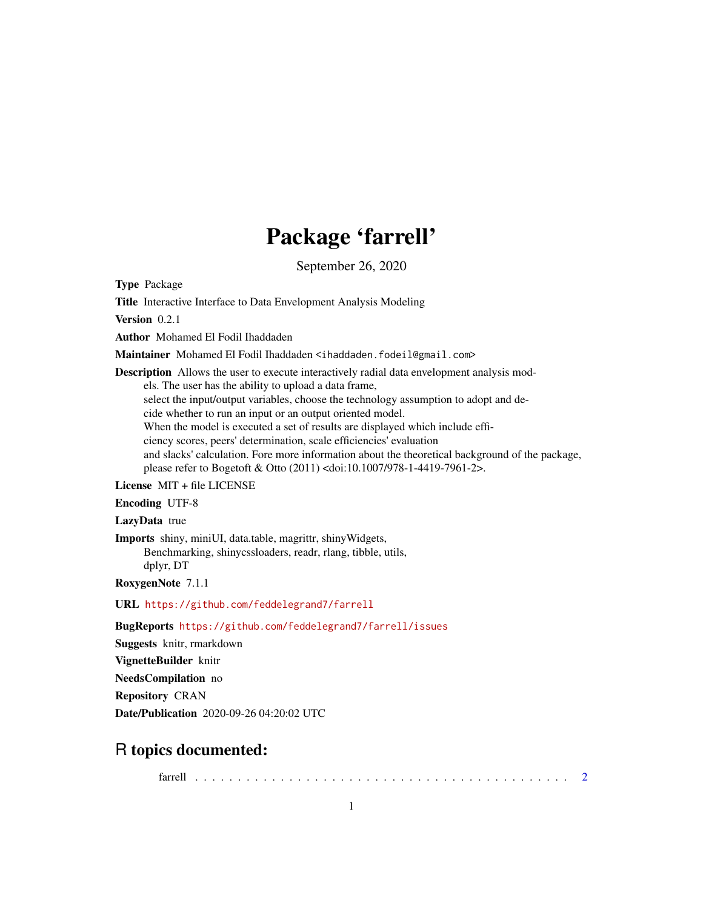## Package 'farrell'

September 26, 2020

Type Package

Title Interactive Interface to Data Envelopment Analysis Modeling

Version 0.2.1

Author Mohamed El Fodil Ihaddaden

Maintainer Mohamed El Fodil Ihaddaden <ihaddaden.fodeil@gmail.com>

Description Allows the user to execute interactively radial data envelopment analysis mod-

els. The user has the ability to upload a data frame,

select the input/output variables, choose the technology assumption to adopt and de-

cide whether to run an input or an output oriented model.

When the model is executed a set of results are displayed which include effi-

ciency scores, peers' determination, scale efficiencies' evaluation

and slacks' calculation. Fore more information about the theoretical background of the package, please refer to Bogetoft & Otto (2011) <doi:10.1007/978-1-4419-7961-2>.

License MIT + file LICENSE

Encoding UTF-8

LazyData true

Imports shiny, miniUI, data.table, magrittr, shinyWidgets,

Benchmarking, shinycssloaders, readr, rlang, tibble, utils, dplyr, DT

RoxygenNote 7.1.1

URL <https://github.com/feddelegrand7/farrell>

BugReports <https://github.com/feddelegrand7/farrell/issues>

Suggests knitr, rmarkdown

VignetteBuilder knitr

NeedsCompilation no

Repository CRAN

Date/Publication 2020-09-26 04:20:02 UTC

### R topics documented:

farrell . . . . . . . . . . . . . . . . . . . . . . . . . . . . . . . . . . . . . . . . . . . . [2](#page-1-0)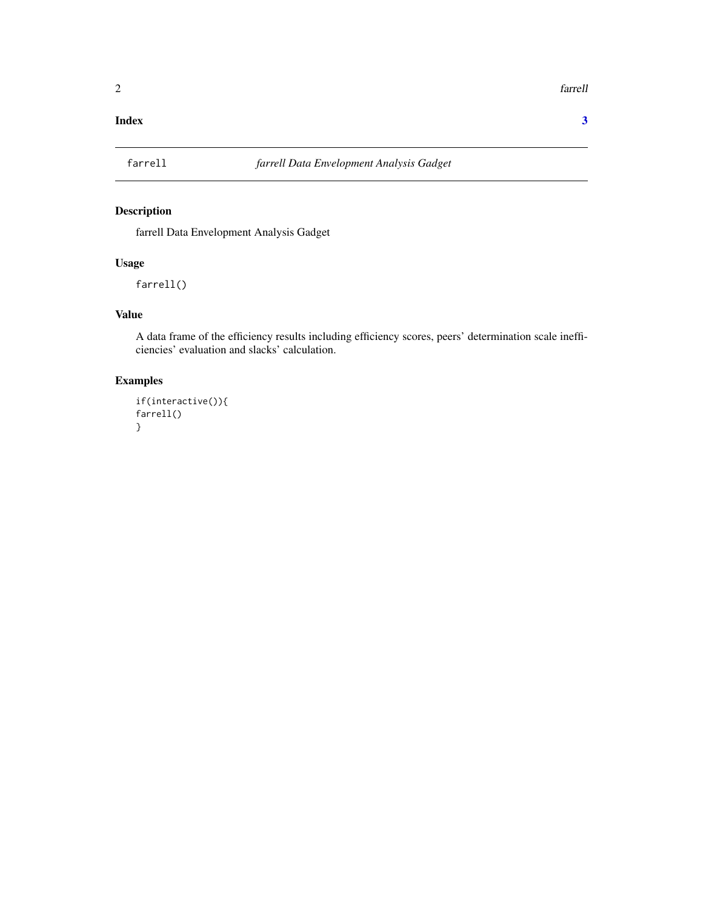#### <span id="page-1-0"></span>**Index** [3](#page-2-0)

#### Description

farrell Data Envelopment Analysis Gadget

#### Usage

farrell()

#### Value

A data frame of the efficiency results including efficiency scores, peers' determination scale inefficiencies' evaluation and slacks' calculation.

#### Examples

```
if(interactive()){
farrell()
}
```